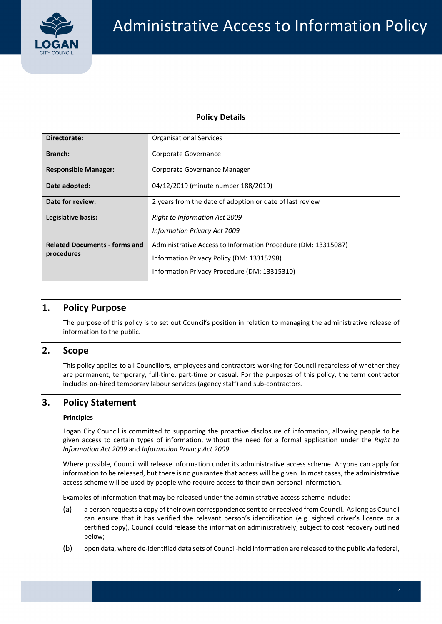

## **Policy Details**

| Directorate:                                       | <b>Organisational Services</b>                                                                                                                             |  |  |
|----------------------------------------------------|------------------------------------------------------------------------------------------------------------------------------------------------------------|--|--|
| <b>Branch:</b>                                     | Corporate Governance                                                                                                                                       |  |  |
| <b>Responsible Manager:</b>                        | Corporate Governance Manager                                                                                                                               |  |  |
| Date adopted:                                      | 04/12/2019 (minute number 188/2019)                                                                                                                        |  |  |
| Date for review:                                   | 2 years from the date of adoption or date of last review                                                                                                   |  |  |
| Legislative basis:                                 | <b>Right to Information Act 2009</b><br><b>Information Privacy Act 2009</b>                                                                                |  |  |
| <b>Related Documents - forms and</b><br>procedures | Administrative Access to Information Procedure (DM: 13315087)<br>Information Privacy Policy (DM: 13315298)<br>Information Privacy Procedure (DM: 13315310) |  |  |

## **1. Policy Purpose**

 The purpose of this policy is to set out Council's position in relation to managing the administrative release of information to the public.

## **2. Scope**

 This policy applies to all Councillors, employees and contractors working for Council regardless of whether they are permanent, temporary, full‐time, part‐time or casual. For the purposes of this policy, the term contractor includes on‐hired temporary labour services (agency staff) and sub‐contractors.

# **3. Policy Statement**

### **Principles**

Logan City Council is committed to supporting the proactive disclosure of information, allowing people to be given access to certain types of information, without the need for a formal application under the *Right to Information Act 2009* and *Information Privacy Act 2009*.

Where possible, Council will release information under its administrative access scheme. Anyone can apply for information to be released, but there is no guarantee that access will be given. In most cases, the administrative access scheme will be used by people who require access to their own personal information.

Examples of information that may be released under the administrative access scheme include:

- (a) a person requests a copy of their own correspondence sent to or received from Council. Aslong as Council can ensure that it has verified the relevant person's identification (e.g. sighted driver's licence or a certified copy), Council could release the information administratively, subject to cost recovery outlined below;
- (b) open data, where de‐identified data sets of Council‐held information are released to the public via federal,